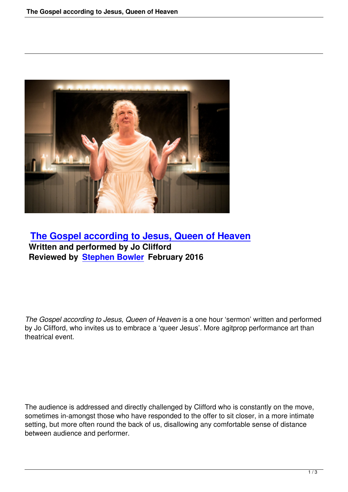

## **The Gospel according to Jesus, Queen of Heaven Written and performed by Jo Clifford [Reviewed by Stephen Bowler February 2016](the-gospel-according-to-jesus-queen-of-heaven.html)**

*The Gospel according to Jesus, Queen of Heaven* is a one hour 'sermon' written and performed by Jo Clifford, who invites us to embrace a 'queer Jesus'. More agitprop performance art than theatrical event.

The audience is addressed and directly challenged by Clifford who is constantly on the move, sometimes in-amongst those who have responded to the offer to sit closer, in a more intimate setting, but more often round the back of us, disallowing any comfortable sense of distance between audience and performer.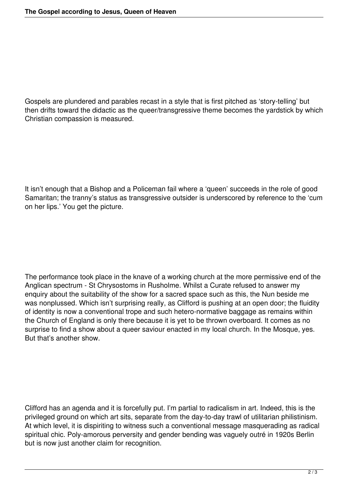Gospels are plundered and parables recast in a style that is first pitched as 'story-telling' but then drifts toward the didactic as the queer/transgressive theme becomes the yardstick by which Christian compassion is measured.

It isn't enough that a Bishop and a Policeman fail where a 'queen' succeeds in the role of good Samaritan; the tranny's status as transgressive outsider is underscored by reference to the 'cum on her lips.' You get the picture.

The performance took place in the knave of a working church at the more permissive end of the Anglican spectrum - St Chrysostoms in Rusholme. Whilst a Curate refused to answer my enquiry about the suitability of the show for a sacred space such as this, the Nun beside me was nonplussed. Which isn't surprising really, as Clifford is pushing at an open door; the fluidity of identity is now a conventional trope and such hetero-normative baggage as remains within the Church of England is only there because it is yet to be thrown overboard. It comes as no surprise to find a show about a queer saviour enacted in my local church. In the Mosque, yes. But that's another show.

Clifford has an agenda and it is forcefully put. I'm partial to radicalism in art. Indeed, this is the privileged ground on which art sits, separate from the day-to-day trawl of utilitarian philistinism. At which level, it is dispiriting to witness such a conventional message masquerading as radical spiritual chic. Poly-amorous perversity and gender bending was vaguely outré in 1920s Berlin but is now just another claim for recognition.